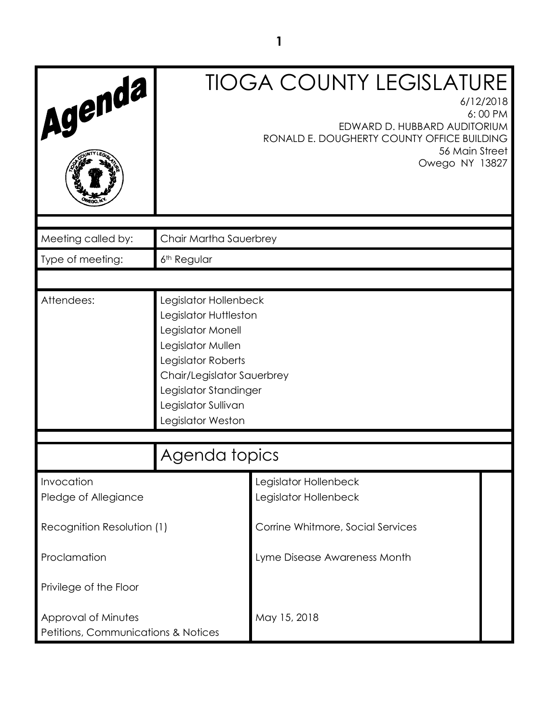| Agenda                                                     | <b>TIOGA COUNTY LEGISLATURE</b><br>6/12/2018<br>6:00 PM<br>EDWARD D. HUBBARD AUDITORIUM<br>RONALD E. DOUGHERTY COUNTY OFFICE BUILDING<br>56 Main Street<br>Owego NY 13827                                         |                                                |  |  |
|------------------------------------------------------------|-------------------------------------------------------------------------------------------------------------------------------------------------------------------------------------------------------------------|------------------------------------------------|--|--|
| Meeting called by:                                         | Chair Martha Sauerbrey                                                                                                                                                                                            |                                                |  |  |
| Type of meeting:                                           | 6 <sup>th</sup> Regular                                                                                                                                                                                           |                                                |  |  |
|                                                            |                                                                                                                                                                                                                   |                                                |  |  |
| Attendees:                                                 | Legislator Hollenbeck<br>Legislator Huttleston<br>Legislator Monell<br>Legislator Mullen<br>Legislator Roberts<br>Chair/Legislator Sauerbrey<br>Legislator Standinger<br>Legislator Sullivan<br>Legislator Weston |                                                |  |  |
| Agenda topics                                              |                                                                                                                                                                                                                   |                                                |  |  |
| Invocation<br>Pledge of Allegiance                         |                                                                                                                                                                                                                   | Legislator Hollenbeck<br>Legislator Hollenbeck |  |  |
| Recognition Resolution (1)                                 |                                                                                                                                                                                                                   | Corrine Whitmore, Social Services              |  |  |
| Proclamation                                               |                                                                                                                                                                                                                   | Lyme Disease Awareness Month                   |  |  |
| Privilege of the Floor                                     |                                                                                                                                                                                                                   |                                                |  |  |
| Approval of Minutes<br>Petitions, Communications & Notices |                                                                                                                                                                                                                   | May 15, 2018                                   |  |  |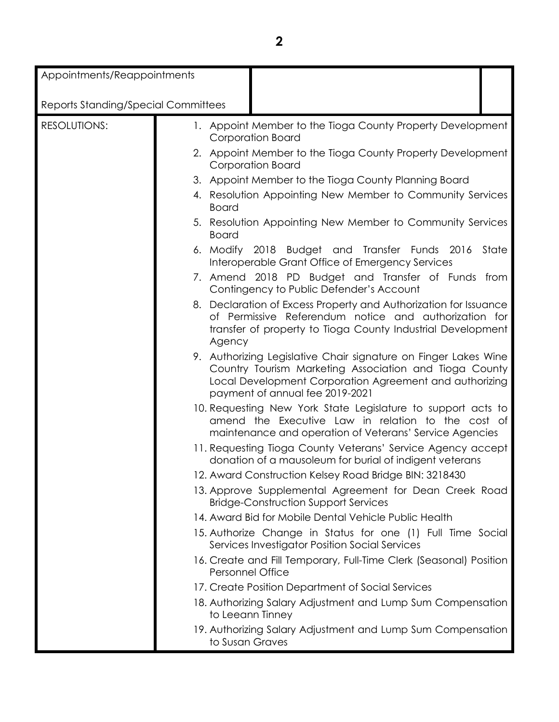| Appointments/Reappointments                |                         |                                                                                                                                                                                                                         |       |
|--------------------------------------------|-------------------------|-------------------------------------------------------------------------------------------------------------------------------------------------------------------------------------------------------------------------|-------|
|                                            |                         |                                                                                                                                                                                                                         |       |
| <b>Reports Standing/Special Committees</b> |                         |                                                                                                                                                                                                                         |       |
| <b>RESOLUTIONS:</b>                        |                         | 1. Appoint Member to the Tioga County Property Development<br><b>Corporation Board</b>                                                                                                                                  |       |
|                                            |                         | 2. Appoint Member to the Tioga County Property Development<br>Corporation Board                                                                                                                                         |       |
|                                            |                         | 3. Appoint Member to the Tioga County Planning Board                                                                                                                                                                    |       |
|                                            | <b>Board</b>            | 4. Resolution Appointing New Member to Community Services                                                                                                                                                               |       |
|                                            | <b>Board</b>            | 5. Resolution Appointing New Member to Community Services                                                                                                                                                               |       |
|                                            |                         | 6. Modify 2018 Budget and Transfer Funds 2016<br>Interoperable Grant Office of Emergency Services                                                                                                                       | State |
|                                            |                         | 7. Amend 2018 PD Budget and Transfer of Funds from<br>Contingency to Public Defender's Account                                                                                                                          |       |
|                                            | Agency                  | 8. Declaration of Excess Property and Authorization for Issuance<br>of Permissive Referendum notice and authorization for<br>transfer of property to Tioga County Industrial Development                                |       |
|                                            |                         | 9. Authorizing Legislative Chair signature on Finger Lakes Wine<br>Country Tourism Marketing Association and Tioga County<br>Local Development Corporation Agreement and authorizing<br>payment of annual fee 2019-2021 |       |
|                                            |                         | 10. Requesting New York State Legislature to support acts to<br>amend the Executive Law in relation to the cost of<br>maintenance and operation of Veterans' Service Agencies                                           |       |
|                                            |                         | 11. Requesting Tioga County Veterans' Service Agency accept<br>donation of a mausoleum for burial of indigent veterans                                                                                                  |       |
|                                            |                         | 12. Award Construction Kelsey Road Bridge BIN: 3218430                                                                                                                                                                  |       |
|                                            |                         | 13. Approve Supplemental Agreement for Dean Creek Road<br><b>Bridge-Construction Support Services</b>                                                                                                                   |       |
|                                            |                         | 14. Award Bid for Mobile Dental Vehicle Public Health                                                                                                                                                                   |       |
|                                            |                         | 15. Authorize Change in Status for one (1) Full Time Social<br>Services Investigator Position Social Services                                                                                                           |       |
|                                            | <b>Personnel Office</b> | 16. Create and Fill Temporary, Full-Time Clerk (Seasonal) Position                                                                                                                                                      |       |
|                                            |                         | 17. Create Position Department of Social Services                                                                                                                                                                       |       |
|                                            |                         | 18. Authorizing Salary Adjustment and Lump Sum Compensation<br>to Leeann Tinney                                                                                                                                         |       |
|                                            | to Susan Graves         | 19. Authorizing Salary Adjustment and Lump Sum Compensation                                                                                                                                                             |       |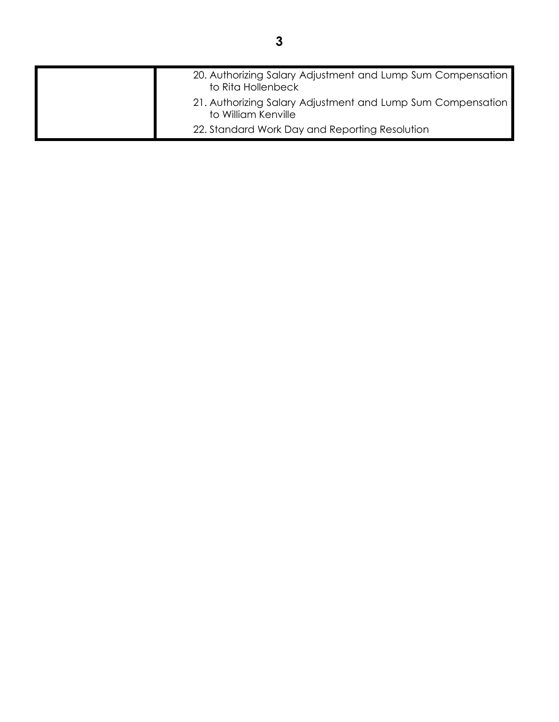| 20. Authorizing Salary Adjustment and Lump Sum Compensation<br>to Rita Hollenbeck  |
|------------------------------------------------------------------------------------|
| 21. Authorizing Salary Adjustment and Lump Sum Compensation<br>to William Kenville |
| 22. Standard Work Day and Reporting Resolution                                     |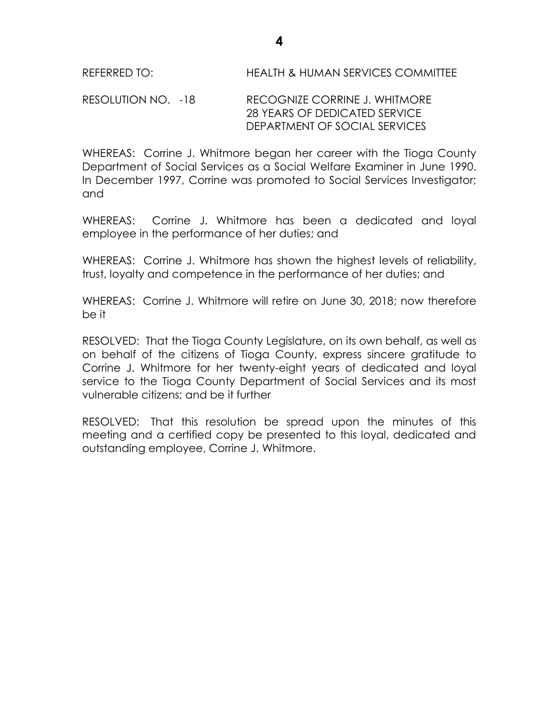#### RESOLUTION NO. -18 RECOGNIZE CORRINE J. WHITMORE 28 YEARS OF DEDICATED SERVICE DEPARTMENT OF SOCIAL SERVICES

WHEREAS: Corrine J. Whitmore began her career with the Tioga County Department of Social Services as a Social Welfare Examiner in June 1990. In December 1997, Corrine was promoted to Social Services Investigator; and

WHEREAS: Corrine J. Whitmore has been a dedicated and loyal employee in the performance of her duties; and

WHEREAS: Corrine J. Whitmore has shown the highest levels of reliability, trust, loyalty and competence in the performance of her duties; and

WHEREAS: Corrine J. Whitmore will retire on June 30, 2018; now therefore be it

RESOLVED:That the Tioga County Legislature, on its own behalf, as well as on behalf of the citizens of Tioga County, express sincere gratitude to Corrine J. Whitmore for her twenty-eight years of dedicated and loyal service to the Tioga County Department of Social Services and its most vulnerable citizens; and be it further

RESOLVED: That this resolution be spread upon the minutes of this meeting and a certified copy be presented to this loyal, dedicated and outstanding employee, Corrine J. Whitmore.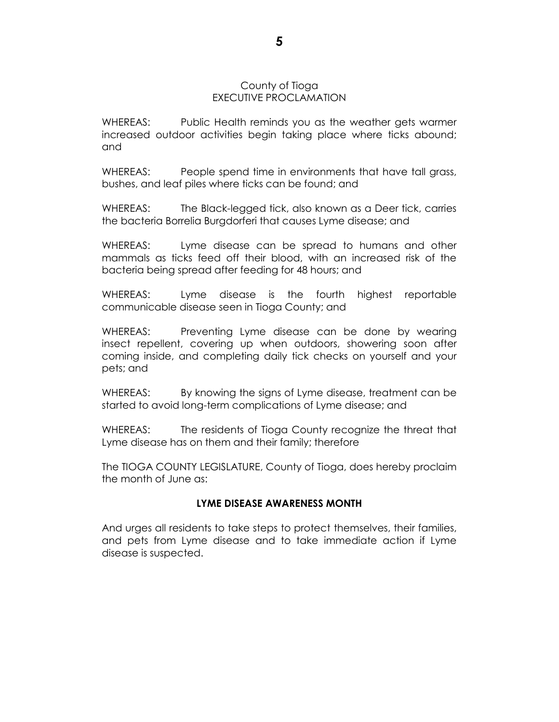#### County of Tioga EXECUTIVE PROCLAMATION

WHEREAS: Public Health reminds you as the weather gets warmer increased outdoor activities begin taking place where ticks abound; and

WHEREAS: People spend time in environments that have tall grass, bushes, and leaf piles where ticks can be found; and

WHEREAS: The Black-legged tick, also known as a Deer tick, carries the bacteria Borrelia Burgdorferi that causes Lyme disease; and

WHEREAS: Lyme disease can be spread to humans and other mammals as ticks feed off their blood, with an increased risk of the bacteria being spread after feeding for 48 hours; and

WHEREAS: Lyme disease is the fourth highest reportable communicable disease seen in Tioga County; and

WHEREAS: Preventing Lyme disease can be done by wearing insect repellent, covering up when outdoors, showering soon after coming inside, and completing daily tick checks on yourself and your pets; and

WHEREAS: By knowing the signs of Lyme disease, treatment can be started to avoid long-term complications of Lyme disease; and

WHEREAS: The residents of Tioga County recognize the threat that Lyme disease has on them and their family; therefore

The TIOGA COUNTY LEGISLATURE, County of Tioga, does hereby proclaim the month of June as:

#### **LYME DISEASE AWARENESS MONTH**

And urges all residents to take steps to protect themselves, their families, and pets from Lyme disease and to take immediate action if Lyme disease is suspected.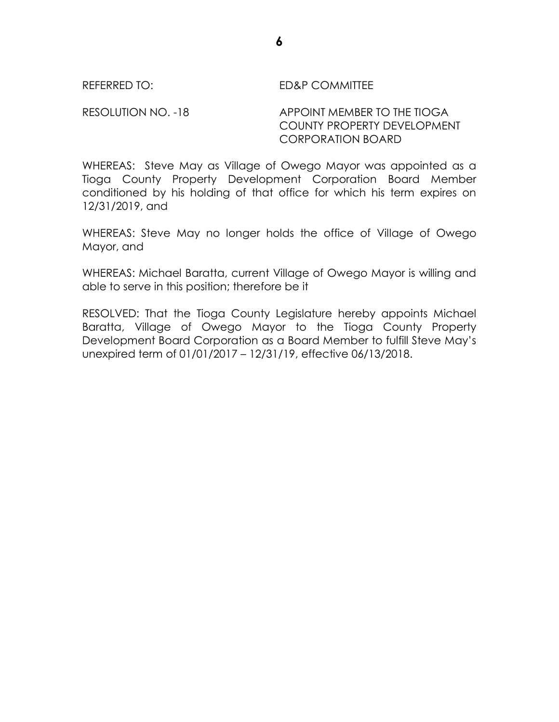#### REFERRED TO: ED&P COMMITTEE

RESOLUTION NO. -18 APPOINT MEMBER TO THE TIOGA COUNTY PROPERTY DEVELOPMENT CORPORATION BOARD

WHEREAS: Steve May as Village of Owego Mayor was appointed as a Tioga County Property Development Corporation Board Member conditioned by his holding of that office for which his term expires on 12/31/2019, and

WHEREAS: Steve May no longer holds the office of Village of Owego Mayor, and

WHEREAS: Michael Baratta, current Village of Owego Mayor is willing and able to serve in this position; therefore be it

RESOLVED: That the Tioga County Legislature hereby appoints Michael Baratta, Village of Owego Mayor to the Tioga County Property Development Board Corporation as a Board Member to fulfill Steve May's unexpired term of 01/01/2017 – 12/31/19, effective 06/13/2018.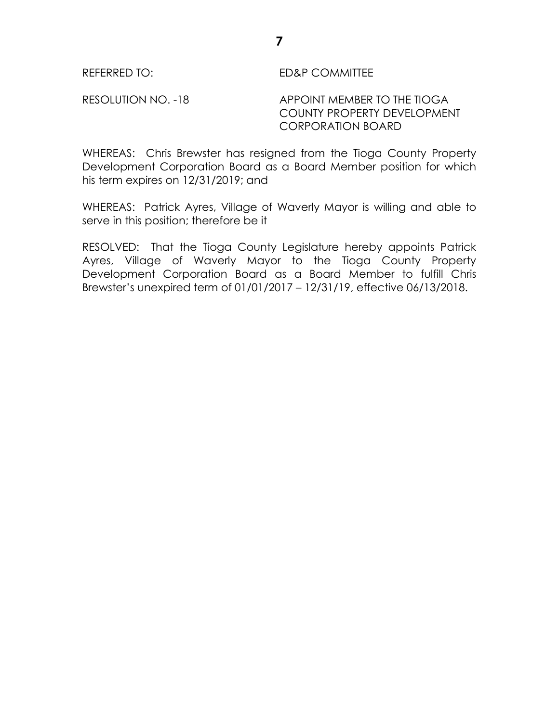## REFERRED TO: ED&P COMMITTEE

RESOLUTION NO. -18 APPOINT MEMBER TO THE TIOGA COUNTY PROPERTY DEVELOPMENT CORPORATION BOARD

WHEREAS: Chris Brewster has resigned from the Tioga County Property Development Corporation Board as a Board Member position for which his term expires on 12/31/2019; and

WHEREAS: Patrick Ayres, Village of Waverly Mayor is willing and able to serve in this position; therefore be it

RESOLVED: That the Tioga County Legislature hereby appoints Patrick Ayres, Village of Waverly Mayor to the Tioga County Property Development Corporation Board as a Board Member to fulfill Chris Brewster's unexpired term of 01/01/2017 – 12/31/19, effective 06/13/2018.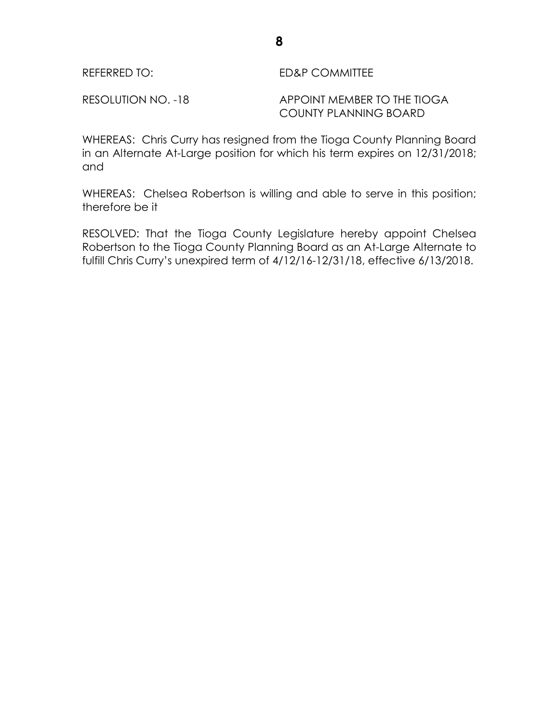| <b>ED&amp;P COMMITTEE</b><br><b>REFERRED TO:</b> |
|--------------------------------------------------|
|--------------------------------------------------|

RESOLUTION NO. -18 APPOINT MEMBER TO THE TIOGA COUNTY PLANNING BOARD

WHEREAS: Chris Curry has resigned from the Tioga County Planning Board in an Alternate At-Large position for which his term expires on 12/31/2018; and

WHEREAS: Chelsea Robertson is willing and able to serve in this position; therefore be it

RESOLVED: That the Tioga County Legislature hereby appoint Chelsea Robertson to the Tioga County Planning Board as an At-Large Alternate to fulfill Chris Curry's unexpired term of 4/12/16-12/31/18, effective 6/13/2018.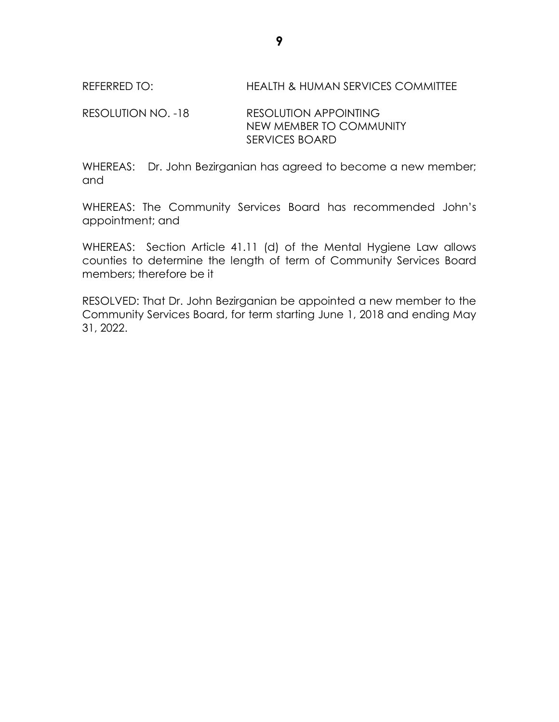RESOLUTION NO. -18 RESOLUTION APPOINTING NEW MEMBER TO COMMUNITY SERVICES BOARD

WHEREAS: Dr. John Bezirganian has agreed to become a new member; and

WHEREAS: The Community Services Board has recommended John's appointment; and

WHEREAS: Section Article 41.11 (d) of the Mental Hygiene Law allows counties to determine the length of term of Community Services Board members; therefore be it

RESOLVED: That Dr. John Bezirganian be appointed a new member to the Community Services Board, for term starting June 1, 2018 and ending May 31, 2022.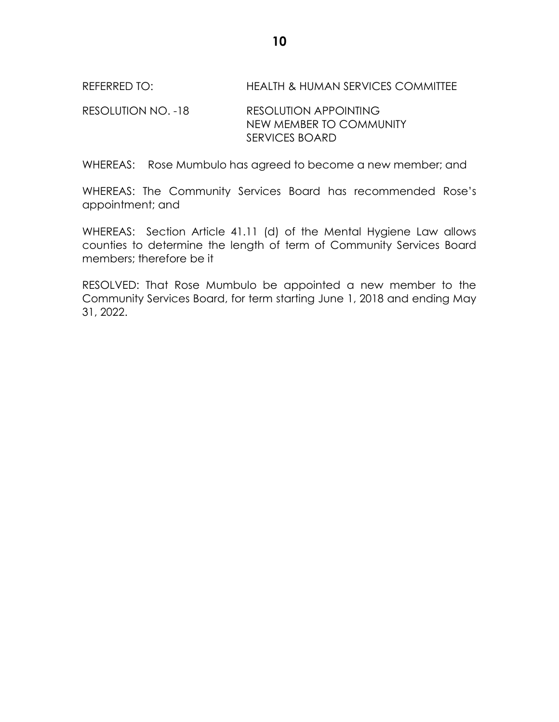REFERRED TO: HEALTH & HUMAN SERVICES COMMITTEE

RESOLUTION NO. -18 RESOLUTION APPOINTING NEW MEMBER TO COMMUNITY SERVICES BOARD

WHEREAS: Rose Mumbulo has agreed to become a new member; and

WHEREAS: The Community Services Board has recommended Rose's appointment; and

WHEREAS: Section Article 41.11 (d) of the Mental Hygiene Law allows counties to determine the length of term of Community Services Board members; therefore be it

RESOLVED: That Rose Mumbulo be appointed a new member to the Community Services Board, for term starting June 1, 2018 and ending May 31, 2022.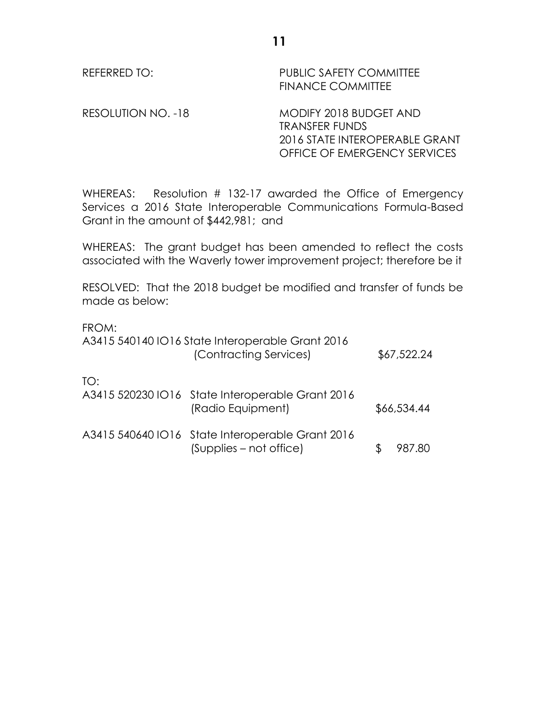REFERRED TO: PUBLIC SAFETY COMMITTEE FINANCE COMMITTEE

RESOLUTION NO. -18 MODIFY 2018 BUDGET AND TRANSFER FUNDS 2016 STATE INTEROPERABLE GRANT OFFICE OF EMERGENCY SERVICES

WHEREAS: Resolution # 132-17 awarded the Office of Emergency Services a 2016 State Interoperable Communications Formula-Based Grant in the amount of \$442,981; and

WHEREAS: The grant budget has been amended to reflect the costs associated with the Waverly tower improvement project; therefore be it

RESOLVED: That the 2018 budget be modified and transfer of funds be made as below:

FROM:

|     | A3415 540140 IO16 State Interoperable Grant 2016<br>(Contracting Services)  | \$67,522.24 |
|-----|-----------------------------------------------------------------------------|-------------|
| TO: | A3415 520230 IO16 State Interoperable Grant 2016<br>(Radio Equipment)       | \$66,534.44 |
|     | A3415 540640 IO16 State Interoperable Grant 2016<br>(Supplies – not office) | 987.80      |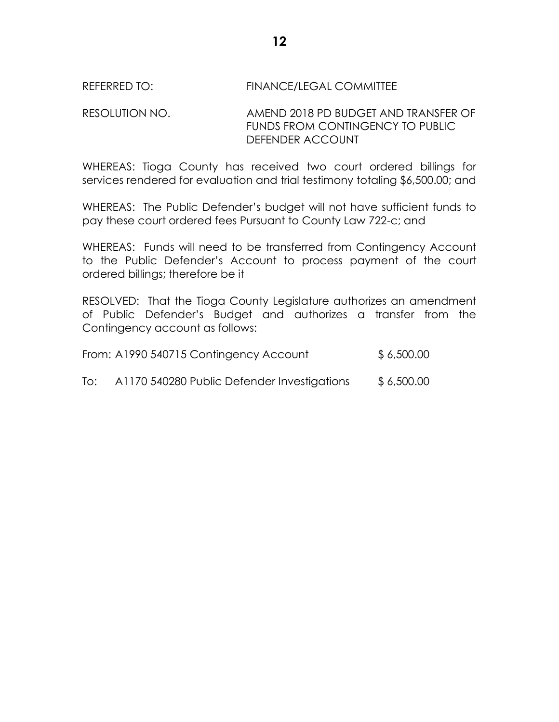#### REFERRED TO: FINANCE/LEGAL COMMITTEE

RESOLUTION NO. AMEND 2018 PD BUDGET AND TRANSFER OF FUNDS FROM CONTINGENCY TO PUBLIC DEFENDER ACCOUNT

WHEREAS: Tioga County has received two court ordered billings for services rendered for evaluation and trial testimony totaling \$6,500.00; and

WHEREAS: The Public Defender's budget will not have sufficient funds to pay these court ordered fees Pursuant to County Law 722-c; and

WHEREAS: Funds will need to be transferred from Contingency Account to the Public Defender's Account to process payment of the court ordered billings; therefore be it

RESOLVED: That the Tioga County Legislature authorizes an amendment of Public Defender's Budget and authorizes a transfer from the Contingency account as follows:

|     | From: A1990 540715 Contingency Account      | \$6,500.00 |
|-----|---------------------------------------------|------------|
| To: | A1170 540280 Public Defender Investigations | \$6,500.00 |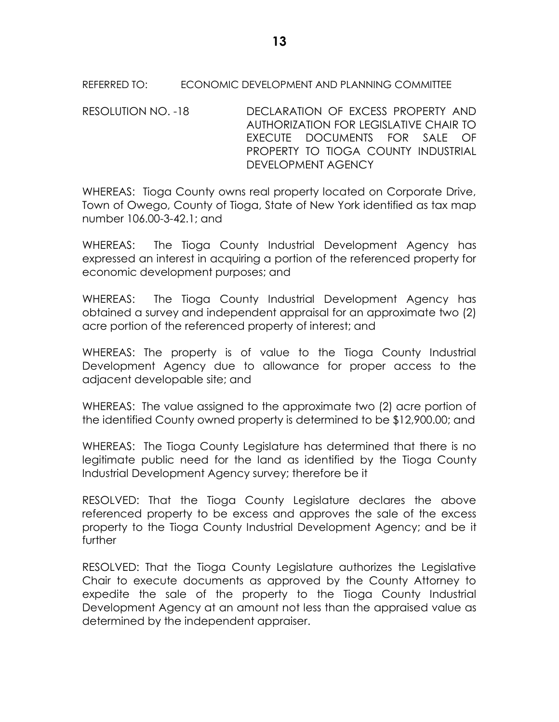RESOLUTION NO. -18 DECLARATION OF EXCESS PROPERTY AND AUTHORIZATION FOR LEGISLATIVE CHAIR TO EXECUTE DOCUMENTS FOR SALE OF PROPERTY TO TIOGA COUNTY INDUSTRIAL DEVELOPMENT AGENCY

WHEREAS: Tioga County owns real property located on Corporate Drive, Town of Owego, County of Tioga, State of New York identified as tax map number 106.00-3-42.1; and

WHEREAS: The Tioga County Industrial Development Agency has expressed an interest in acquiring a portion of the referenced property for economic development purposes; and

WHEREAS: The Tioga County Industrial Development Agency has obtained a survey and independent appraisal for an approximate two (2) acre portion of the referenced property of interest; and

WHEREAS: The property is of value to the Tioga County Industrial Development Agency due to allowance for proper access to the adjacent developable site; and

WHEREAS: The value assigned to the approximate two (2) acre portion of the identified County owned property is determined to be \$12,900.00; and

WHEREAS: The Tioga County Legislature has determined that there is no legitimate public need for the land as identified by the Tioga County Industrial Development Agency survey; therefore be it

RESOLVED: That the Tioga County Legislature declares the above referenced property to be excess and approves the sale of the excess property to the Tioga County Industrial Development Agency; and be it further

RESOLVED: That the Tioga County Legislature authorizes the Legislative Chair to execute documents as approved by the County Attorney to expedite the sale of the property to the Tioga County Industrial Development Agency at an amount not less than the appraised value as determined by the independent appraiser.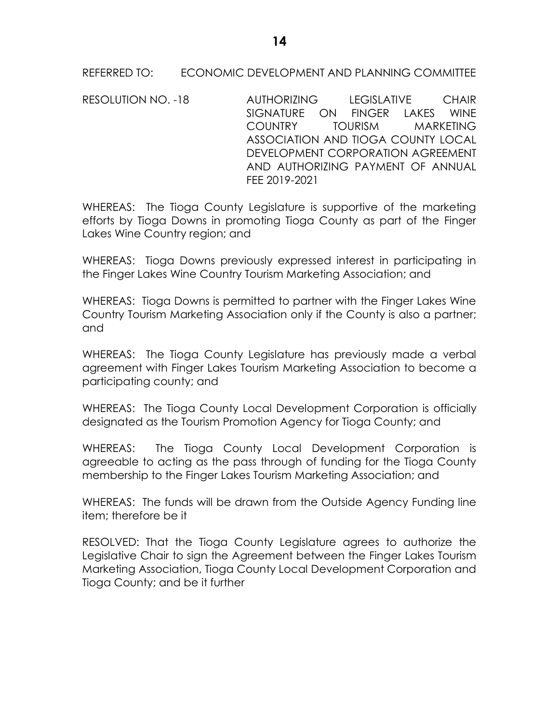RESOLUTION NO. -18 AUTHORIZING LEGISLATIVE CHAIR SIGNATURE ON FINGER LAKES WINE COUNTRY TOURISM MARKETING ASSOCIATION AND TIOGA COUNTY LOCAL DEVELOPMENT CORPORATION AGREEMENT AND AUTHORIZING PAYMENT OF ANNUAL FEE 2019-2021

WHEREAS: The Tioga County Legislature is supportive of the marketing efforts by Tioga Downs in promoting Tioga County as part of the Finger Lakes Wine Country region; and

WHEREAS: Tioga Downs previously expressed interest in participating in the Finger Lakes Wine Country Tourism Marketing Association; and

WHEREAS: Tioga Downs is permitted to partner with the Finger Lakes Wine Country Tourism Marketing Association only if the County is also a partner; and

WHEREAS: The Tioga County Legislature has previously made a verbal agreement with Finger Lakes Tourism Marketing Association to become a participating county; and

WHEREAS: The Tioga County Local Development Corporation is officially designated as the Tourism Promotion Agency for Tioga County; and

WHEREAS: The Tioga County Local Development Corporation is agreeable to acting as the pass through of funding for the Tioga County membership to the Finger Lakes Tourism Marketing Association; and

WHEREAS: The funds will be drawn from the Outside Agency Funding line item; therefore be it

RESOLVED: That the Tioga County Legislature agrees to authorize the Legislative Chair to sign the Agreement between the Finger Lakes Tourism Marketing Association, Tioga County Local Development Corporation and Tioga County; and be it further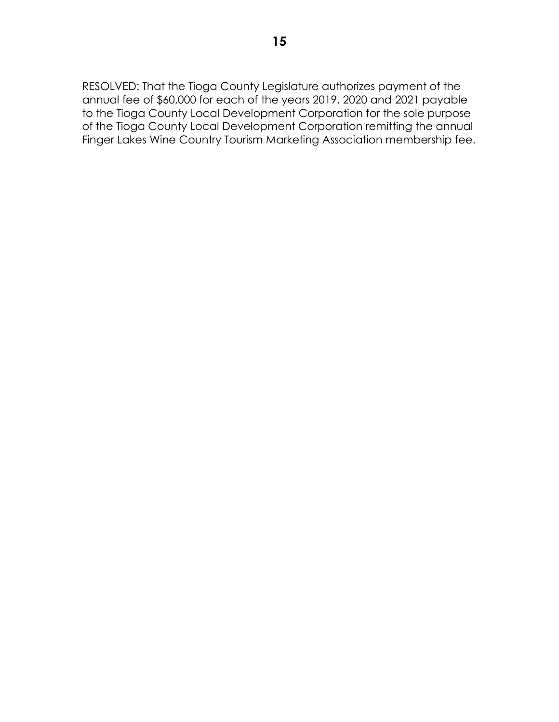RESOLVED: That the Tioga County Legislature authorizes payment of the annual fee of \$60,000 for each of the years 2019, 2020 and 2021 payable to the Tioga County Local Development Corporation for the sole purpose of the Tioga County Local Development Corporation remitting the annual Finger Lakes Wine Country Tourism Marketing Association membership fee.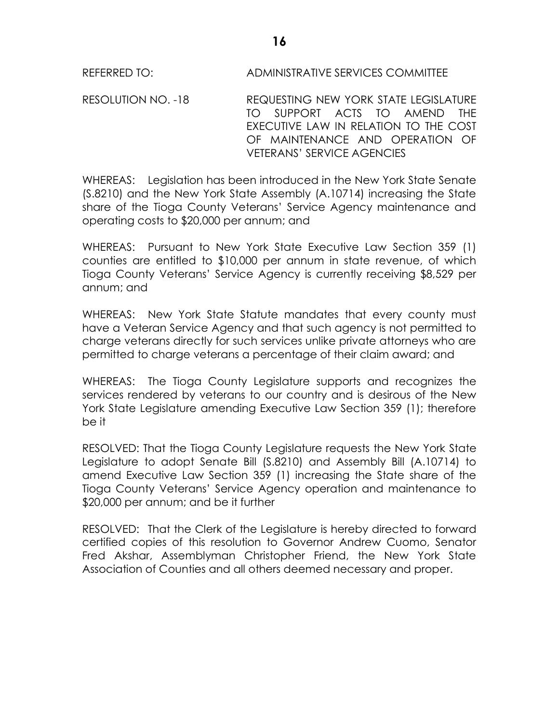REFERRED TO: ADMINISTRATIVE SERVICES COMMITTEE

RESOLUTION NO. -18 REQUESTING NEW YORK STATE LEGISLATURE TO SUPPORT ACTS TO AMEND THE EXECUTIVE LAW IN RELATION TO THE COST OF MAINTENANCE AND OPERATION OF VETERANS' SERVICE AGENCIES

WHEREAS: Legislation has been introduced in the New York State Senate (S.8210) and the New York State Assembly (A.10714) increasing the State share of the Tioga County Veterans' Service Agency maintenance and operating costs to \$20,000 per annum; and

WHEREAS: Pursuant to New York State Executive Law Section 359 (1) counties are entitled to \$10,000 per annum in state revenue, of which Tioga County Veterans' Service Agency is currently receiving \$8,529 per annum; and

WHEREAS: New York State Statute mandates that every county must have a Veteran Service Agency and that such agency is not permitted to charge veterans directly for such services unlike private attorneys who are permitted to charge veterans a percentage of their claim award; and

WHEREAS: The Tioga County Legislature supports and recognizes the services rendered by veterans to our country and is desirous of the New York State Legislature amending Executive Law Section 359 (1); therefore be it

RESOLVED: That the Tioga County Legislature requests the New York State Legislature to adopt Senate Bill (S.8210) and Assembly Bill (A.10714) to amend Executive Law Section 359 (1) increasing the State share of the Tioga County Veterans' Service Agency operation and maintenance to \$20,000 per annum; and be it further

RESOLVED: That the Clerk of the Legislature is hereby directed to forward certified copies of this resolution to Governor Andrew Cuomo, Senator Fred Akshar, Assemblyman Christopher Friend, the New York State Association of Counties and all others deemed necessary and proper.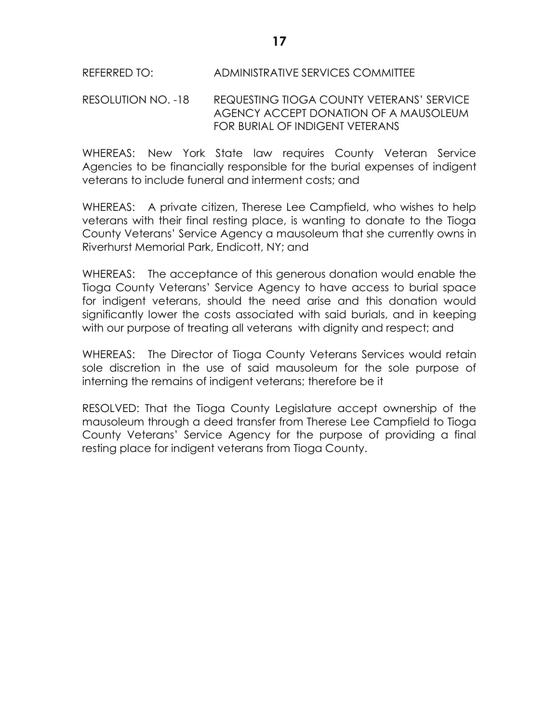## REFERRED TO: ADMINISTRATIVE SERVICES COMMITTEE

#### RESOLUTION NO. -18 REQUESTING TIOGA COUNTY VETERANS' SERVICE AGENCY ACCEPT DONATION OF A MAUSOLEUM FOR BURIAL OF INDIGENT VETERANS

WHEREAS: New York State law requires County Veteran Service Agencies to be financially responsible for the burial expenses of indigent veterans to include funeral and interment costs; and

WHEREAS: A private citizen, Therese Lee Campfield, who wishes to help veterans with their final resting place, is wanting to donate to the Tioga County Veterans' Service Agency a mausoleum that she currently owns in Riverhurst Memorial Park, Endicott, NY; and

WHEREAS: The acceptance of this generous donation would enable the Tioga County Veterans' Service Agency to have access to burial space for indigent veterans, should the need arise and this donation would significantly lower the costs associated with said burials, and in keeping with our purpose of treating all veterans with dignity and respect; and

WHEREAS: The Director of Tioga County Veterans Services would retain sole discretion in the use of said mausoleum for the sole purpose of interning the remains of indigent veterans; therefore be it

RESOLVED: That the Tioga County Legislature accept ownership of the mausoleum through a deed transfer from Therese Lee Campfield to Tioga County Veterans' Service Agency for the purpose of providing a final resting place for indigent veterans from Tioga County.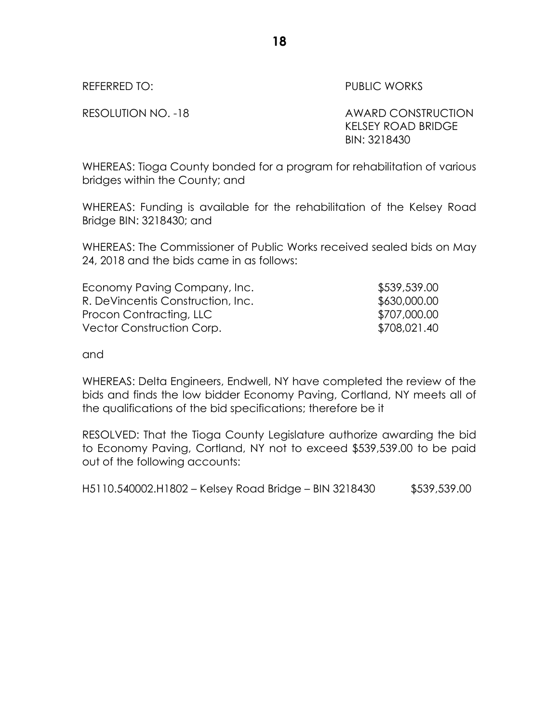REFERRED TO: The contract of the contract of the public works and the public works

RESOLUTION NO. -18 AWARD CONSTRUCTION KELSEY ROAD BRIDGE BIN: 3218430

WHEREAS: Tioga County bonded for a program for rehabilitation of various bridges within the County; and

WHEREAS: Funding is available for the rehabilitation of the Kelsey Road Bridge BIN: 3218430; and

WHEREAS: The Commissioner of Public Works received sealed bids on May 24, 2018 and the bids came in as follows:

| Economy Paving Company, Inc.      | \$539,539.00 |
|-----------------------------------|--------------|
| R. DeVincentis Construction, Inc. | \$630,000.00 |
| Procon Contracting, LLC           | \$707,000.00 |
| Vector Construction Corp.         | \$708,021.40 |

and

WHEREAS: Delta Engineers, Endwell, NY have completed the review of the bids and finds the low bidder Economy Paving, Cortland, NY meets all of the qualifications of the bid specifications; therefore be it

RESOLVED: That the Tioga County Legislature authorize awarding the bid to Economy Paving, Cortland, NY not to exceed \$539,539.00 to be paid out of the following accounts:

H5110.540002.H1802 – Kelsey Road Bridge – BIN 3218430 \$539,539.00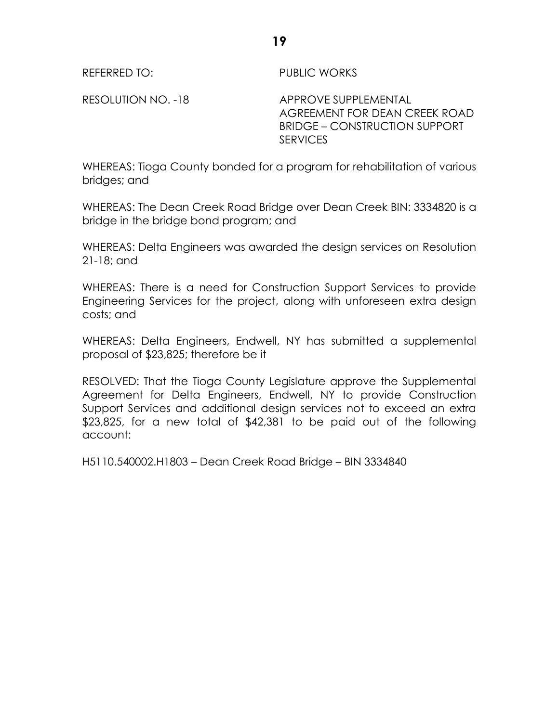REFERRED TO: PUBLIC WORKS

RESOLUTION NO. -18 APPROVE SUPPLEMENTAL AGREEMENT FOR DEAN CREEK ROAD BRIDGE – CONSTRUCTION SUPPORT **SERVICES** 

WHEREAS: Tioga County bonded for a program for rehabilitation of various bridges; and

WHEREAS: The Dean Creek Road Bridge over Dean Creek BIN: 3334820 is a bridge in the bridge bond program; and

WHEREAS: Delta Engineers was awarded the design services on Resolution 21-18; and

WHEREAS: There is a need for Construction Support Services to provide Engineering Services for the project, along with unforeseen extra design costs; and

WHEREAS: Delta Engineers, Endwell, NY has submitted a supplemental proposal of \$23,825; therefore be it

RESOLVED: That the Tioga County Legislature approve the Supplemental Agreement for Delta Engineers, Endwell, NY to provide Construction Support Services and additional design services not to exceed an extra \$23,825, for a new total of \$42,381 to be paid out of the following account:

H5110.540002.H1803 – Dean Creek Road Bridge – BIN 3334840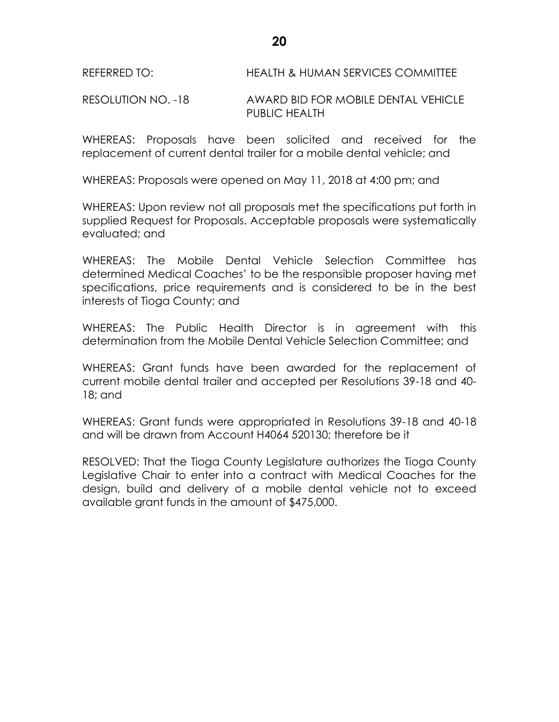REFERRED TO: HEALTH & HUMAN SERVICES COMMITTEE

RESOLUTION NO. -18 AWARD BID FOR MOBILE DENTAL VEHICLE PUBLIC HEALTH

WHEREAS: Proposals have been solicited and received for the replacement of current dental trailer for a mobile dental vehicle; and

WHEREAS: Proposals were opened on May 11, 2018 at 4:00 pm; and

WHEREAS: Upon review not all proposals met the specifications put forth in supplied Request for Proposals. Acceptable proposals were systematically evaluated; and

WHEREAS: The Mobile Dental Vehicle Selection Committee has determined Medical Coaches' to be the responsible proposer having met specifications, price requirements and is considered to be in the best interests of Tioga County; and

WHEREAS: The Public Health Director is in agreement with this determination from the Mobile Dental Vehicle Selection Committee; and

WHEREAS: Grant funds have been awarded for the replacement of current mobile dental trailer and accepted per Resolutions 39-18 and 40- 18; and

WHEREAS: Grant funds were appropriated in Resolutions 39-18 and 40-18 and will be drawn from Account H4064 520130; therefore be it

RESOLVED: That the Tioga County Legislature authorizes the Tioga County Legislative Chair to enter into a contract with Medical Coaches for the design, build and delivery of a mobile dental vehicle not to exceed available grant funds in the amount of \$475,000.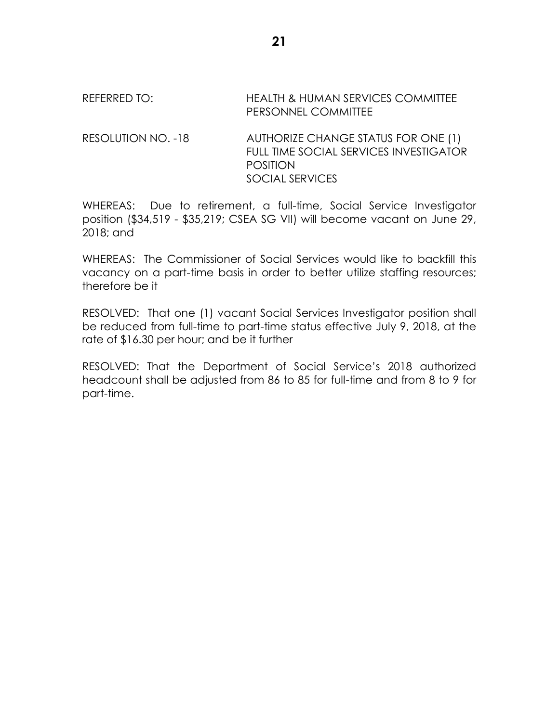## REFERRED TO: HEALTH & HUMAN SERVICES COMMITTEE PERSONNEL COMMITTEE

RESOLUTION NO. -18 AUTHORIZE CHANGE STATUS FOR ONE (1) FULL TIME SOCIAL SERVICES INVESTIGATOR POSITION SOCIAL SERVICES

WHEREAS: Due to retirement, a full-time, Social Service Investigator position (\$34,519 - \$35,219; CSEA SG VII) will become vacant on June 29, 2018; and

WHEREAS: The Commissioner of Social Services would like to backfill this vacancy on a part-time basis in order to better utilize staffing resources; therefore be it

RESOLVED: That one (1) vacant Social Services Investigator position shall be reduced from full-time to part-time status effective July 9, 2018, at the rate of \$16.30 per hour; and be it further

RESOLVED: That the Department of Social Service's 2018 authorized headcount shall be adjusted from 86 to 85 for full-time and from 8 to 9 for part-time.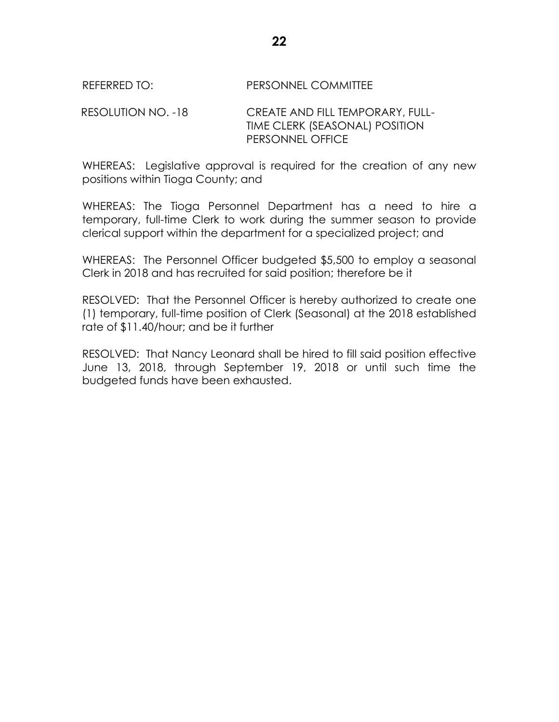#### REFERRED TO: PERSONNEL COMMITTEE

RESOLUTION NO. -18 CREATE AND FILL TEMPORARY, FULL-TIME CLERK (SEASONAL) POSITION PERSONNEL OFFICE

WHEREAS: Legislative approval is required for the creation of any new positions within Tioga County; and

WHEREAS: The Tioga Personnel Department has a need to hire a temporary, full-time Clerk to work during the summer season to provide clerical support within the department for a specialized project; and

WHEREAS: The Personnel Officer budgeted \$5,500 to employ a seasonal Clerk in 2018 and has recruited for said position; therefore be it

RESOLVED: That the Personnel Officer is hereby authorized to create one (1) temporary, full-time position of Clerk (Seasonal) at the 2018 established rate of \$11.40/hour; and be it further

RESOLVED: That Nancy Leonard shall be hired to fill said position effective June 13, 2018, through September 19, 2018 or until such time the budgeted funds have been exhausted.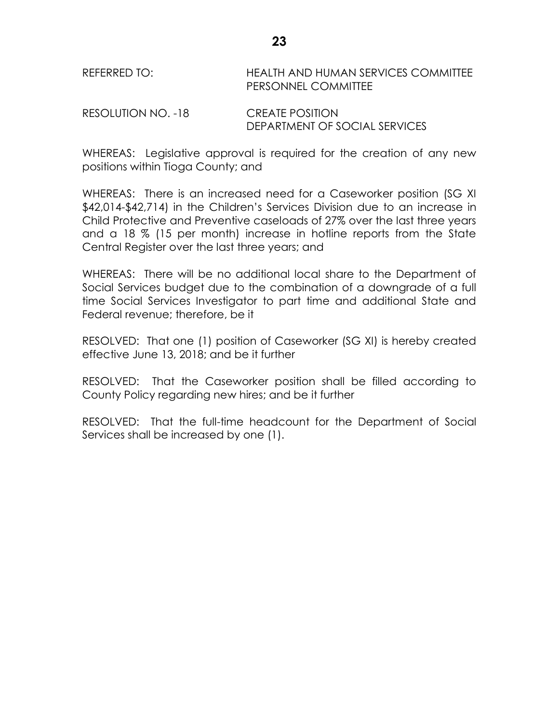REFERRED TO: HEALTH AND HUMAN SERVICES COMMITTEE PERSONNEL COMMITTEE

RESOLUTION NO. -18 CREATE POSITION DEPARTMENT OF SOCIAL SERVICES

WHEREAS: Legislative approval is required for the creation of any new positions within Tioga County; and

WHEREAS: There is an increased need for a Caseworker position (SG XI \$42,014-\$42,714) in the Children's Services Division due to an increase in Child Protective and Preventive caseloads of 27% over the last three years and a 18 % (15 per month) increase in hotline reports from the State Central Register over the last three years; and

WHEREAS: There will be no additional local share to the Department of Social Services budget due to the combination of a downgrade of a full time Social Services Investigator to part time and additional State and Federal revenue; therefore, be it

RESOLVED: That one (1) position of Caseworker (SG XI) is hereby created effective June 13, 2018; and be it further

RESOLVED: That the Caseworker position shall be filled according to County Policy regarding new hires; and be it further

RESOLVED: That the full-time headcount for the Department of Social Services shall be increased by one (1).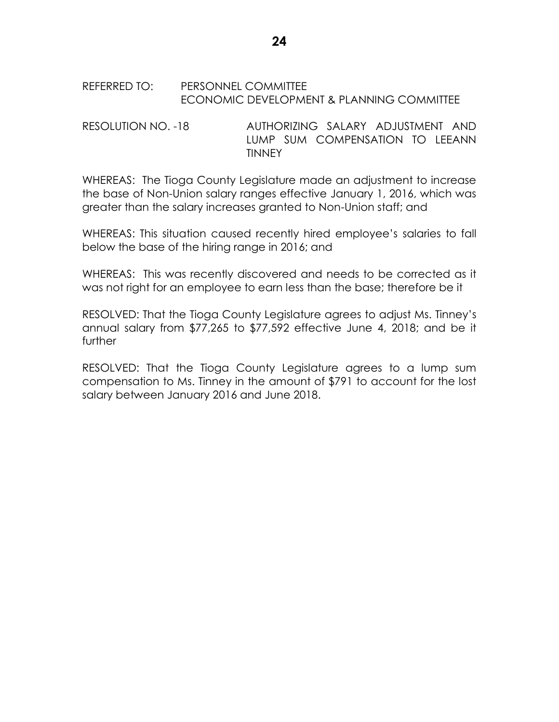#### REFERRED TO: PERSONNEL COMMITTEE ECONOMIC DEVELOPMENT & PLANNING COMMITTEE

RESOLUTION NO. -18 AUTHORIZING SALARY ADJUSTMENT AND LUMP SUM COMPENSATION TO LEEANN TINNEY

WHEREAS: The Tioga County Legislature made an adjustment to increase the base of Non-Union salary ranges effective January 1, 2016, which was greater than the salary increases granted to Non-Union staff; and

WHEREAS: This situation caused recently hired employee's salaries to fall below the base of the hiring range in 2016; and

WHEREAS: This was recently discovered and needs to be corrected as it was not right for an employee to earn less than the base; therefore be it

RESOLVED: That the Tioga County Legislature agrees to adjust Ms. Tinney's annual salary from \$77,265 to \$77,592 effective June 4, 2018; and be it further

RESOLVED: That the Tioga County Legislature agrees to a lump sum compensation to Ms. Tinney in the amount of \$791 to account for the lost salary between January 2016 and June 2018.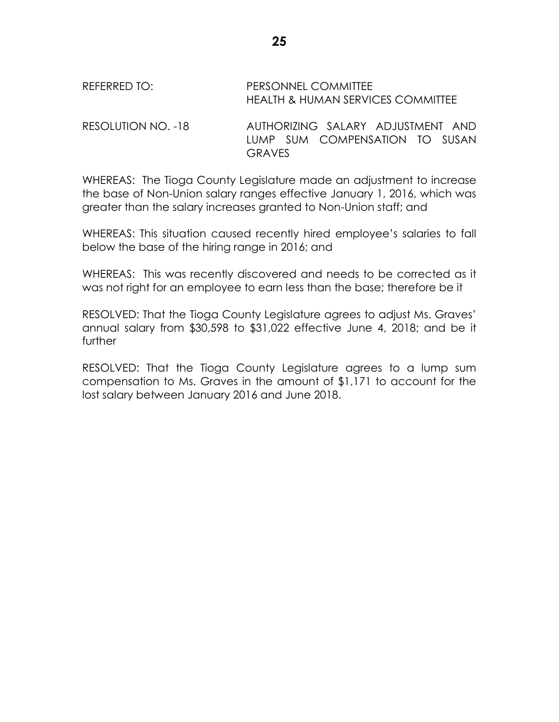# REFERRED TO: PERSONNEL COMMITTEE HEALTH & HUMAN SERVICES COMMITTEE RESOLUTION NO. -18 AUTHORIZING SALARY ADJUSTMENT AND

LUMP SUM COMPENSATION TO SUSAN **GRAVES** 

WHEREAS: The Tioga County Legislature made an adjustment to increase the base of Non-Union salary ranges effective January 1, 2016, which was greater than the salary increases granted to Non-Union staff; and

WHEREAS: This situation caused recently hired employee's salaries to fall below the base of the hiring range in 2016; and

WHEREAS: This was recently discovered and needs to be corrected as it was not right for an employee to earn less than the base; therefore be it

RESOLVED: That the Tioga County Legislature agrees to adjust Ms. Graves' annual salary from \$30,598 to \$31,022 effective June 4, 2018; and be it further

RESOLVED: That the Tioga County Legislature agrees to a lump sum compensation to Ms. Graves in the amount of \$1,171 to account for the lost salary between January 2016 and June 2018.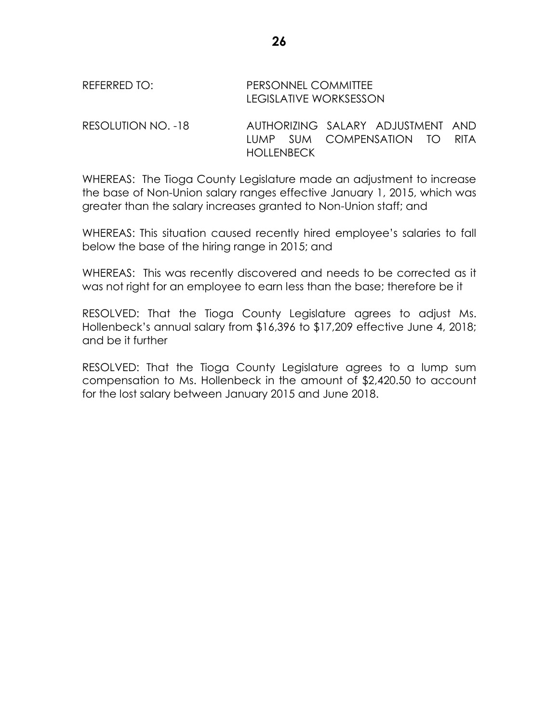# REFERRED TO: PERSONNEL COMMITTEE LEGISLATIVE WORKSESSON

RESOLUTION NO. -18 AUTHORIZING SALARY ADJUSTMENT AND LUMP SUM COMPENSATION TO RITA HOLLENBECK

WHEREAS: The Tioga County Legislature made an adjustment to increase the base of Non-Union salary ranges effective January 1, 2015, which was greater than the salary increases granted to Non-Union staff; and

WHEREAS: This situation caused recently hired employee's salaries to fall below the base of the hiring range in 2015; and

WHEREAS: This was recently discovered and needs to be corrected as it was not right for an employee to earn less than the base; therefore be it

RESOLVED: That the Tioga County Legislature agrees to adjust Ms. Hollenbeck's annual salary from \$16,396 to \$17,209 effective June 4, 2018; and be it further

RESOLVED: That the Tioga County Legislature agrees to a lump sum compensation to Ms. Hollenbeck in the amount of \$2,420.50 to account for the lost salary between January 2015 and June 2018.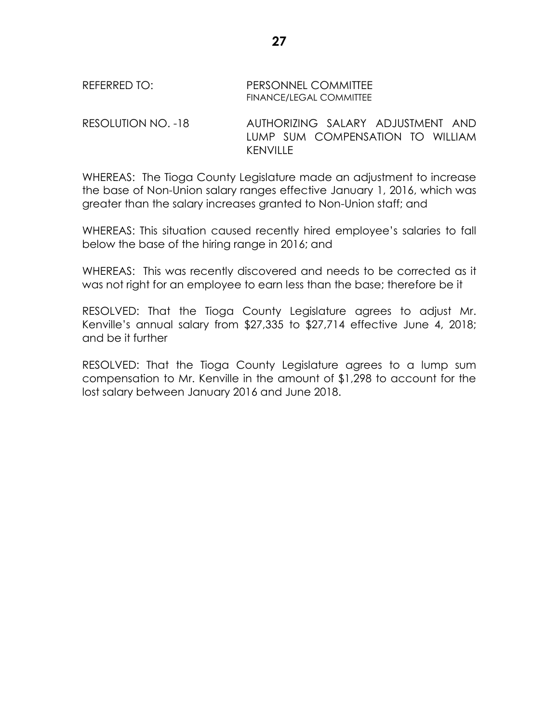## REFERRED TO: PERSONNEL COMMITTEE FINANCE/LEGAL COMMITTEE

RESOLUTION NO. -18 AUTHORIZING SALARY ADJUSTMENT AND LUMP SUM COMPENSATION TO WILLIAM KENVILLE

WHEREAS: The Tioga County Legislature made an adjustment to increase the base of Non-Union salary ranges effective January 1, 2016, which was greater than the salary increases granted to Non-Union staff; and

WHEREAS: This situation caused recently hired employee's salaries to fall below the base of the hiring range in 2016; and

WHEREAS: This was recently discovered and needs to be corrected as it was not right for an employee to earn less than the base; therefore be it

RESOLVED: That the Tioga County Legislature agrees to adjust Mr. Kenville's annual salary from \$27,335 to \$27,714 effective June 4, 2018; and be it further

RESOLVED: That the Tioga County Legislature agrees to a lump sum compensation to Mr. Kenville in the amount of \$1,298 to account for the lost salary between January 2016 and June 2018.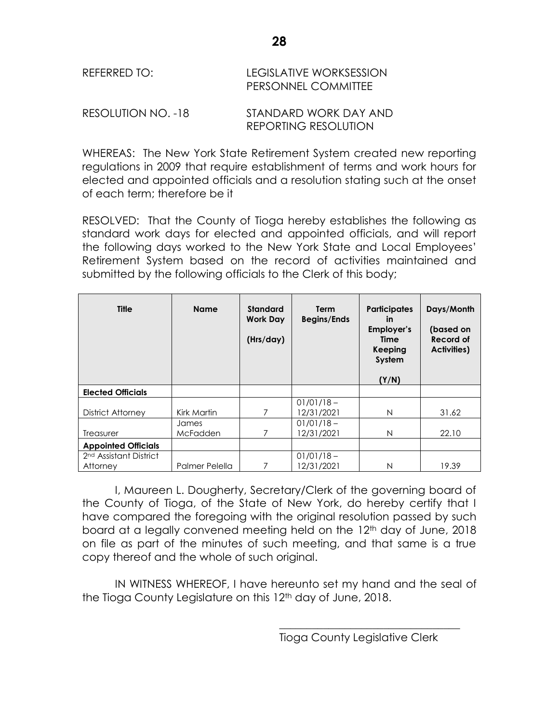| REFERRED TO:       | LEGISLATIVE WORKSESSION<br>PERSONNEL COMMITTEE |
|--------------------|------------------------------------------------|
| RESOLUTION NO. -18 | STANDARD WORK DAY AND                          |

WHEREAS: The New York State Retirement System created new reporting regulations in 2009 that require establishment of terms and work hours for elected and appointed officials and a resolution stating such at the onset of each term; therefore be it

REPORTING RESOLUTION

RESOLVED: That the County of Tioga hereby establishes the following as standard work days for elected and appointed officials, and will report the following days worked to the New York State and Local Employees' Retirement System based on the record of activities maintained and submitted by the following officials to the Clerk of this body;

| <b>Title</b>                                   | <b>Name</b>              | Standard<br><b>Work Day</b><br>(Hrs/day) | Term<br><b>Begins/Ends</b> | <b>Participates</b><br>in<br><b>Employer's</b><br>Time<br>Keeping<br>System<br>(Y/N) | Days/Month<br>(based on<br><b>Record of</b><br><b>Activities</b> ) |
|------------------------------------------------|--------------------------|------------------------------------------|----------------------------|--------------------------------------------------------------------------------------|--------------------------------------------------------------------|
| <b>Elected Officials</b>                       |                          |                                          |                            |                                                                                      |                                                                    |
| District Attorney                              | Kirk Martin              | 7                                        | $01/01/18 -$<br>12/31/2021 | N                                                                                    | 31.62                                                              |
| Treasurer                                      | James<br><b>McFadden</b> | 7                                        | $01/01/18 -$<br>12/31/2021 | N                                                                                    | 22.10                                                              |
| <b>Appointed Officials</b>                     |                          |                                          |                            |                                                                                      |                                                                    |
| 2 <sup>nd</sup> Assistant District<br>Attorney | Palmer Pelella           | 7                                        | $01/01/18 -$<br>12/31/2021 | N                                                                                    | 19.39                                                              |

I, Maureen L. Dougherty, Secretary/Clerk of the governing board of the County of Tioga, of the State of New York, do hereby certify that I have compared the foregoing with the original resolution passed by such board at a legally convened meeting held on the 12<sup>th</sup> day of June, 2018 on file as part of the minutes of such meeting, and that same is a true copy thereof and the whole of such original.

IN WITNESS WHEREOF, I have hereunto set my hand and the seal of the Tioga County Legislature on this 12<sup>th</sup> day of June, 2018.

Tioga County Legislative Clerk

\_\_\_\_\_\_\_\_\_\_\_\_\_\_\_\_\_\_\_\_\_\_\_\_\_\_\_\_\_\_\_\_\_